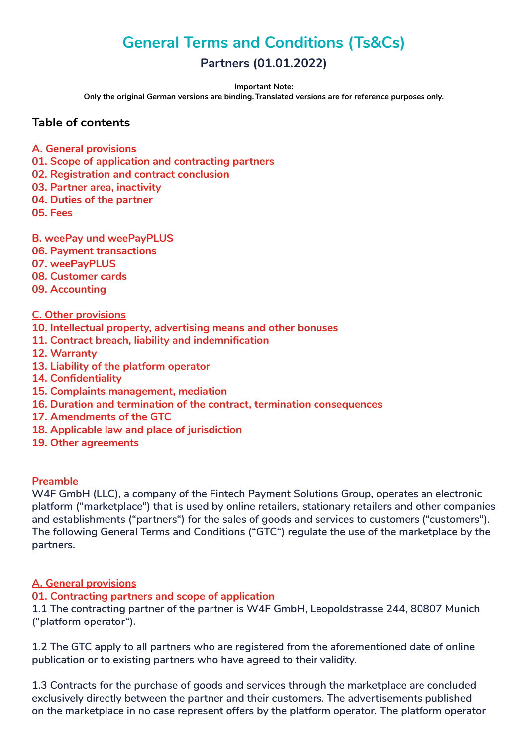# **General Terms and Conditions (Ts&Cs)**

# **Partners (01.01.2022)**

**Important Note:** 

**Only the original German versions are binding. Translated versions are for reference purposes only.**

## **Table of contents**

- **A. General provisions**
- **01. Scope of application and contracting partners**
- **02. Registration and contract conclusion**
- **03. Partner area, inactivity**
- **04. Duties of the partner**
- **05. Fees**

## **B. weePay und weePayPLUS**

- **06. Payment transactions**
- **07. weePayPLUS**
- **08. Customer cards**
- **09. Accounting**

## **C. Other provisions**

- **10. Intellectual property, advertising means and other bonuses**
- **11. Contract breach, liability and indemnification**
- **12. Warranty**
- **13. Liability of the platform operator**
- **14. Confidentiality**
- **15. Complaints management, mediation**
- **16. Duration and termination of the contract, termination consequences**
- **17. Amendments of the GTC**
- **18. Applicable law and place of jurisdiction**
- **19. Other agreements**

#### **Preamble**

**W4F GmbH (LLC), a company of the Fintech Payment Solutions Group, operates an electronic platform ("marketplace") that is used by online retailers, stationary retailers and other companies and establishments ("partners") for the sales of goods and services to customers ("customers"). The following General Terms and Conditions ("GTC") regulate the use of the marketplace by the partners.**

## **A. General provisions**

## **01. Contracting partners and scope of application**

**1.1 The contracting partner of the partner is W4F GmbH, Leopoldstrasse 244, 80807 Munich ("platform operator").**

**1.2 The GTC apply to all partners who are registered from the aforementioned date of online publication or to existing partners who have agreed to their validity.**

**1.3 Contracts for the purchase of goods and services through the marketplace are concluded exclusively directly between the partner and their customers. The advertisements published on the marketplace in no case represent offers by the platform operator. The platform operator**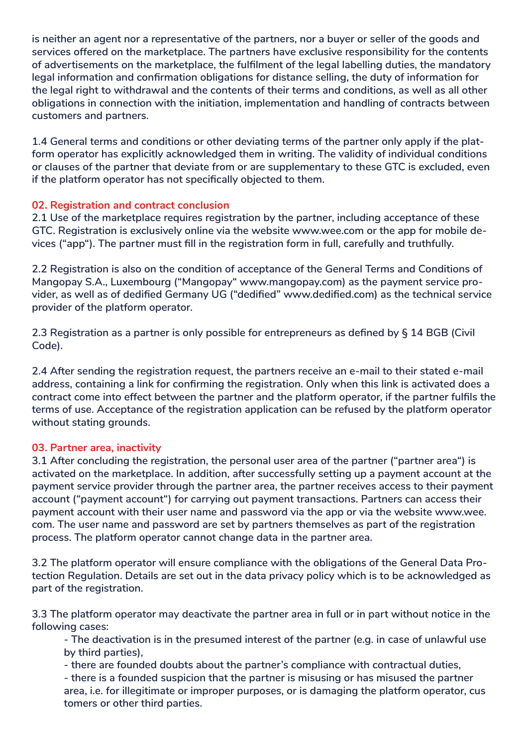**is neither an agent nor a representative of the partners, nor a buyer or seller of the goods and services offered on the marketplace. The partners have exclusive responsibility for the contents of advertisements on the marketplace, the fulfilment of the legal labelling duties, the mandatory legal information and confirmation obligations for distance selling, the duty of information for the legal right to withdrawal and the contents of their terms and conditions, as well as all other obligations in connection with the initiation, implementation and handling of contracts between customers and partners.** 

**1.4 General terms and conditions or other deviating terms of the partner only apply if the platform operator has explicitly acknowledged them in writing. The validity of individual conditions or clauses of the partner that deviate from or are supplementary to these GTC is excluded, even if the platform operator has not specifically objected to them.**

## **02. Registration and contract conclusion**

**2.1 Use of the marketplace requires registration by the partner, including acceptance of these GTC. Registration is exclusively online via the website www.wee.com or the app for mobile devices ("app"). The partner must fill in the registration form in full, carefully and truthfully.**

**2.2 Registration is also on the condition of acceptance of the General Terms and Conditions of Mangopay S.A., Luxembourg ("Mangopay" www.mangopay.com) as the payment service provider, as well as of dedified Germany UG ("dedified" www.dedified.com) as the technical service provider of the platform operator.**

**2.3 Registration as a partner is only possible for entrepreneurs as defined by § 14 BGB (Civil Code).** 

**2.4 After sending the registration request, the partners receive an e-mail to their stated e-mail address, containing a link for confirming the registration. Only when this link is activated does a contract come into effect between the partner and the platform operator, if the partner fulfils the terms of use. Acceptance of the registration application can be refused by the platform operator without stating grounds.** 

## **03. Partner area, inactivity**

**3.1 After concluding the registration, the personal user area of the partner ("partner area") is activated on the marketplace. In addition, after successfully setting up a payment account at the payment service provider through the partner area, the partner receives access to their payment account ("payment account") for carrying out payment transactions. Partners can access their payment account with their user name and password via the app or via the website www.wee. com. The user name and password are set by partners themselves as part of the registration process. The platform operator cannot change data in the partner area.**

**3.2 The platform operator will ensure compliance with the obligations of the General Data Protection Regulation. Details are set out in the data privacy policy which is to be acknowledged as part of the registration.**

**3.3 The platform operator may deactivate the partner area in full or in part without notice in the following cases:** 

**- The deactivation is in the presumed interest of the partner (e.g. in case of unlawful use by third parties),**

**- there are founded doubts about the partner's compliance with contractual duties,**

**- there is a founded suspicion that the partner is misusing or has misused the partner area, i.e. for illegitimate or improper purposes, or is damaging the platform operator, cus tomers or other third parties.**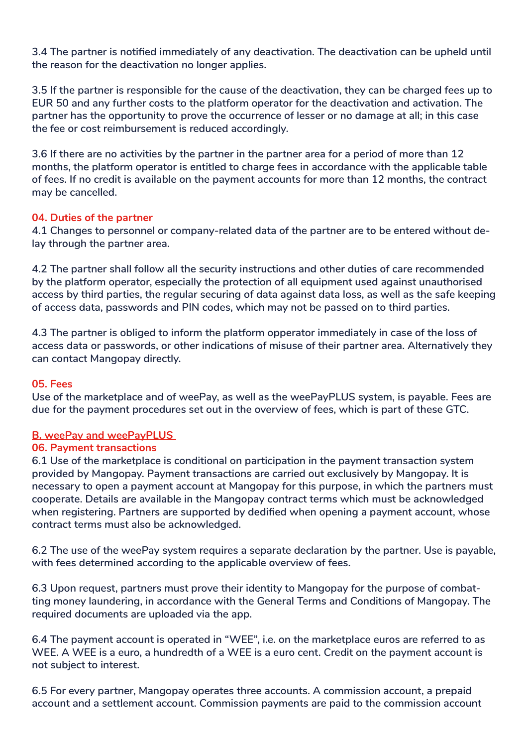**3.4 The partner is notified immediately of any deactivation. The deactivation can be upheld until the reason for the deactivation no longer applies.**

**3.5 If the partner is responsible for the cause of the deactivation, they can be charged fees up to EUR 50 and any further costs to the platform operator for the deactivation and activation. The partner has the opportunity to prove the occurrence of lesser or no damage at all; in this case the fee or cost reimbursement is reduced accordingly.**

**3.6 If there are no activities by the partner in the partner area for a period of more than 12 months, the platform operator is entitled to charge fees in accordance with the applicable table of fees. If no credit is available on the payment accounts for more than 12 months, the contract may be cancelled.**

## **04. Duties of the partner**

**4.1 Changes to personnel or company-related data of the partner are to be entered without delay through the partner area.**

**4.2 The partner shall follow all the security instructions and other duties of care recommended by the platform operator, especially the protection of all equipment used against unauthorised access by third parties, the regular securing of data against data loss, as well as the safe keeping of access data, passwords and PIN codes, which may not be passed on to third parties.**

**4.3 The partner is obliged to inform the platform opperator immediately in case of the loss of access data or passwords, or other indications of misuse of their partner area. Alternatively they can contact Mangopay directly.**

#### **05. Fees**

**Use of the marketplace and of weePay, as well as the weePayPLUS system, is payable. Fees are due for the payment procedures set out in the overview of fees, which is part of these GTC.** 

#### **B. weePay and weePayPLUS**

## **06. Payment transactions**

**6.1 Use of the marketplace is conditional on participation in the payment transaction system provided by Mangopay. Payment transactions are carried out exclusively by Mangopay. It is necessary to open a payment account at Mangopay for this purpose, in which the partners must cooperate. Details are available in the Mangopay contract terms which must be acknowledged when registering. Partners are supported by dedified when opening a payment account, whose contract terms must also be acknowledged.**

**6.2 The use of the weePay system requires a separate declaration by the partner. Use is payable, with fees determined according to the applicable overview of fees.**

**6.3 Upon request, partners must prove their identity to Mangopay for the purpose of combatting money laundering, in accordance with the General Terms and Conditions of Mangopay. The required documents are uploaded via the app.**

**6.4 The payment account is operated in "WEE", i.e. on the marketplace euros are referred to as WEE. A WEE is a euro, a hundredth of a WEE is a euro cent. Credit on the payment account is not subject to interest.**

**6.5 For every partner, Mangopay operates three accounts. A commission account, a prepaid account and a settlement account. Commission payments are paid to the commission account**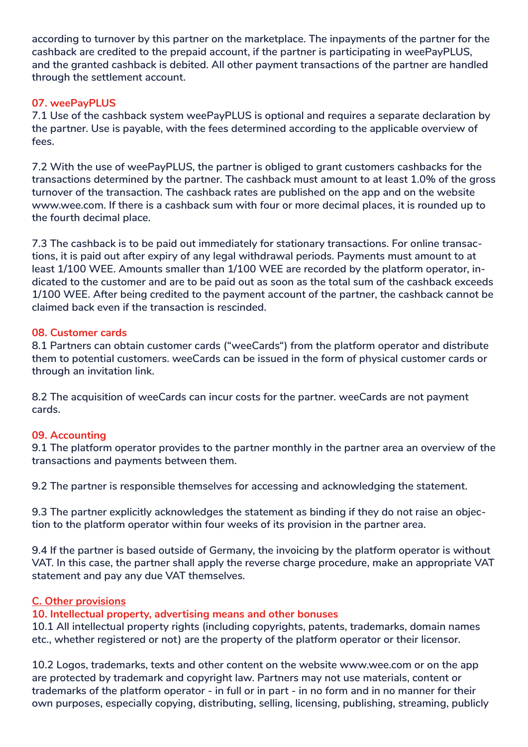**according to turnover by this partner on the marketplace. The inpayments of the partner for the cashback are credited to the prepaid account, if the partner is participating in weePayPLUS, and the granted cashback is debited. All other payment transactions of the partner are handled through the settlement account.**

## **07. weePayPLUS**

**7.1 Use of the cashback system weePayPLUS is optional and requires a separate declaration by the partner. Use is payable, with the fees determined according to the applicable overview of fees.** 

**7.2 With the use of weePayPLUS, the partner is obliged to grant customers cashbacks for the transactions determined by the partner. The cashback must amount to at least 1.0% of the gross turnover of the transaction. The cashback rates are published on the app and on the website www.wee.com. If there is a cashback sum with four or more decimal places, it is rounded up to the fourth decimal place.** 

**7.3 The cashback is to be paid out immediately for stationary transactions. For online transactions, it is paid out after expiry of any legal withdrawal periods. Payments must amount to at least 1/100 WEE. Amounts smaller than 1/100 WEE are recorded by the platform operator, indicated to the customer and are to be paid out as soon as the total sum of the cashback exceeds 1/100 WEE. After being credited to the payment account of the partner, the cashback cannot be claimed back even if the transaction is rescinded.**

## **08. Customer cards**

**8.1 Partners can obtain customer cards ("weeCards") from the platform operator and distribute them to potential customers. weeCards can be issued in the form of physical customer cards or through an invitation link.** 

**8.2 The acquisition of weeCards can incur costs for the partner. weeCards are not payment cards.**

## **09. Accounting**

**9.1 The platform operator provides to the partner monthly in the partner area an overview of the transactions and payments between them.**

**9.2 The partner is responsible themselves for accessing and acknowledging the statement.**

**9.3 The partner explicitly acknowledges the statement as binding if they do not raise an objection to the platform operator within four weeks of its provision in the partner area.**

**9.4 If the partner is based outside of Germany, the invoicing by the platform operator is without VAT. In this case, the partner shall apply the reverse charge procedure, make an appropriate VAT statement and pay any due VAT themselves.**

## **C. Other provisions**

## **10. Intellectual property, advertising means and other bonuses**

**10.1 All intellectual property rights (including copyrights, patents, trademarks, domain names etc., whether registered or not) are the property of the platform operator or their licensor.**

**10.2 Logos, trademarks, texts and other content on the website www.wee.com or on the app are protected by trademark and copyright law. Partners may not use materials, content or trademarks of the platform operator - in full or in part - in no form and in no manner for their own purposes, especially copying, distributing, selling, licensing, publishing, streaming, publicly**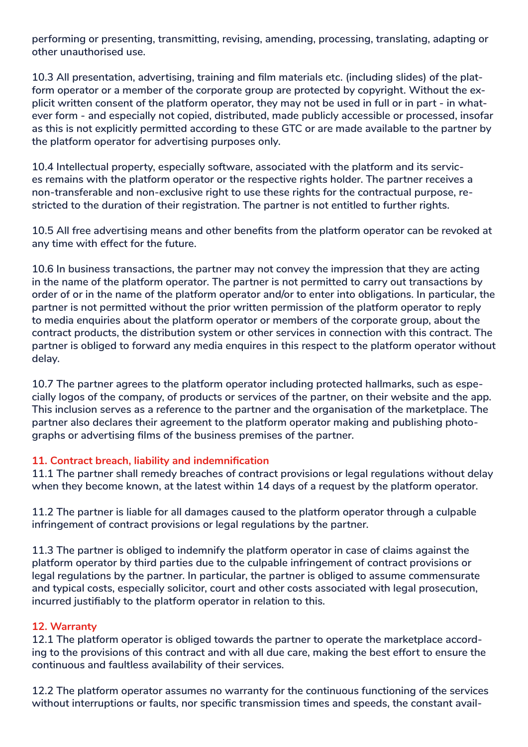**performing or presenting, transmitting, revising, amending, processing, translating, adapting or other unauthorised use.**

**10.3 All presentation, advertising, training and film materials etc. (including slides) of the platform operator or a member of the corporate group are protected by copyright. Without the explicit written consent of the platform operator, they may not be used in full or in part - in whatever form - and especially not copied, distributed, made publicly accessible or processed, insofar as this is not explicitly permitted according to these GTC or are made available to the partner by the platform operator for advertising purposes only.**

**10.4 Intellectual property, especially software, associated with the platform and its services remains with the platform operator or the respective rights holder. The partner receives a non-transferable and non-exclusive right to use these rights for the contractual purpose, restricted to the duration of their registration. The partner is not entitled to further rights.**

**10.5 All free advertising means and other benefits from the platform operator can be revoked at any time with effect for the future.**

**10.6 In business transactions, the partner may not convey the impression that they are acting in the name of the platform operator. The partner is not permitted to carry out transactions by order of or in the name of the platform operator and/or to enter into obligations. In particular, the partner is not permitted without the prior written permission of the platform operator to reply to media enquiries about the platform operator or members of the corporate group, about the contract products, the distribution system or other services in connection with this contract. The partner is obliged to forward any media enquires in this respect to the platform operator without delay.**

**10.7 The partner agrees to the platform operator including protected hallmarks, such as especially logos of the company, of products or services of the partner, on their website and the app. This inclusion serves as a reference to the partner and the organisation of the marketplace. The partner also declares their agreement to the platform operator making and publishing photographs or advertising films of the business premises of the partner.**

## **11. Contract breach, liability and indemnification**

**11.1 The partner shall remedy breaches of contract provisions or legal regulations without delay when they become known, at the latest within 14 days of a request by the platform operator.**

**11.2 The partner is liable for all damages caused to the platform operator through a culpable infringement of contract provisions or legal regulations by the partner.**

**11.3 The partner is obliged to indemnify the platform operator in case of claims against the platform operator by third parties due to the culpable infringement of contract provisions or legal regulations by the partner. In particular, the partner is obliged to assume commensurate and typical costs, especially solicitor, court and other costs associated with legal prosecution, incurred justifiably to the platform operator in relation to this.**

## **12. Warranty**

**12.1 The platform operator is obliged towards the partner to operate the marketplace according to the provisions of this contract and with all due care, making the best effort to ensure the continuous and faultless availability of their services.**

**12.2 The platform operator assumes no warranty for the continuous functioning of the services without interruptions or faults, nor specific transmission times and speeds, the constant avail-**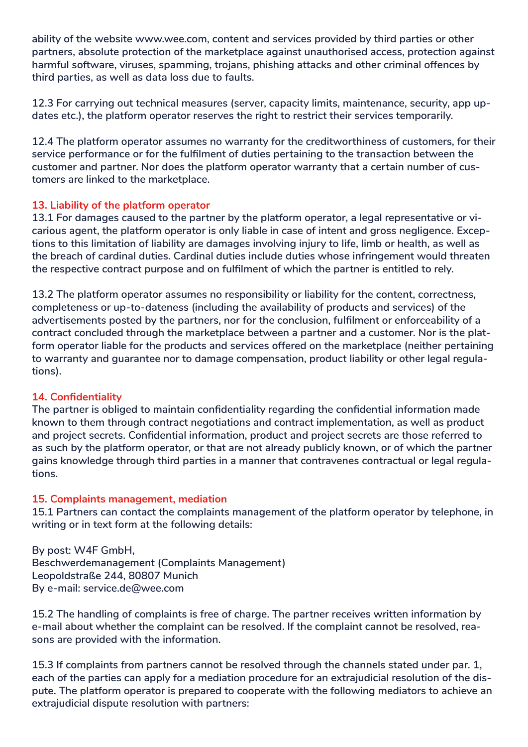**ability of the website www.wee.com, content and services provided by third parties or other partners, absolute protection of the marketplace against unauthorised access, protection against harmful software, viruses, spamming, trojans, phishing attacks and other criminal offences by third parties, as well as data loss due to faults.**

**12.3 For carrying out technical measures (server, capacity limits, maintenance, security, app updates etc.), the platform operator reserves the right to restrict their services temporarily.**

**12.4 The platform operator assumes no warranty for the creditworthiness of customers, for their service performance or for the fulfilment of duties pertaining to the transaction between the customer and partner. Nor does the platform operator warranty that a certain number of customers are linked to the marketplace.**

## **13. Liability of the platform operator**

**13.1 For damages caused to the partner by the platform operator, a legal representative or vicarious agent, the platform operator is only liable in case of intent and gross negligence. Exceptions to this limitation of liability are damages involving injury to life, limb or health, as well as the breach of cardinal duties. Cardinal duties include duties whose infringement would threaten the respective contract purpose and on fulfilment of which the partner is entitled to rely.**

**13.2 The platform operator assumes no responsibility or liability for the content, correctness, completeness or up-to-dateness (including the availability of products and services) of the advertisements posted by the partners, nor for the conclusion, fulfilment or enforceability of a contract concluded through the marketplace between a partner and a customer. Nor is the platform operator liable for the products and services offered on the marketplace (neither pertaining to warranty and guarantee nor to damage compensation, product liability or other legal regulations).**

## **14. Confidentiality**

**The partner is obliged to maintain confidentiality regarding the confidential information made known to them through contract negotiations and contract implementation, as well as product and project secrets. Confidential information, product and project secrets are those referred to as such by the platform operator, or that are not already publicly known, or of which the partner gains knowledge through third parties in a manner that contravenes contractual or legal regulations.**

## **15. Complaints management, mediation**

**15.1 Partners can contact the complaints management of the platform operator by telephone, in writing or in text form at the following details:** 

**By post: W4F GmbH, Beschwerdemanagement (Complaints Management) Leopoldstraße 244, 80807 Munich By e-mail: service.de@wee.com**

**15.2 The handling of complaints is free of charge. The partner receives written information by e-mail about whether the complaint can be resolved. If the complaint cannot be resolved, reasons are provided with the information.**

**15.3 If complaints from partners cannot be resolved through the channels stated under par. 1, each of the parties can apply for a mediation procedure for an extrajudicial resolution of the dispute. The platform operator is prepared to cooperate with the following mediators to achieve an extrajudicial dispute resolution with partners:**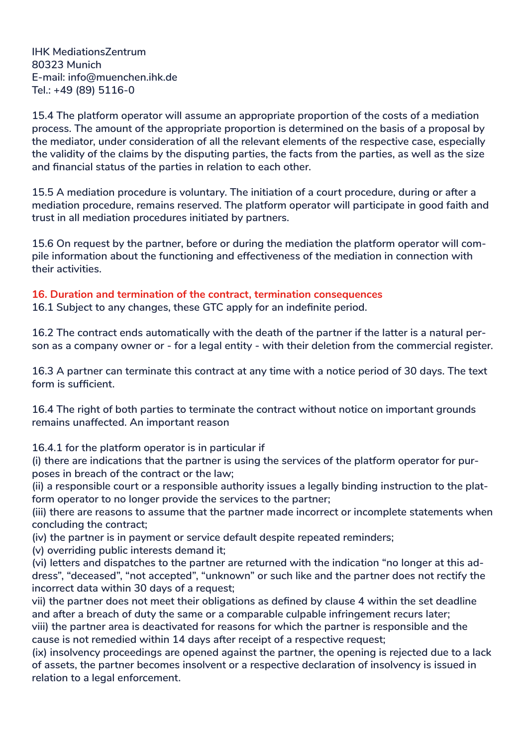**IHK MediationsZentrum 80323 Munich E-mail: info@muenchen.ihk.de Tel.: +49 (89) 5116-0**

**15.4 The platform operator will assume an appropriate proportion of the costs of a mediation process. The amount of the appropriate proportion is determined on the basis of a proposal by the mediator, under consideration of all the relevant elements of the respective case, especially the validity of the claims by the disputing parties, the facts from the parties, as well as the size and financial status of the parties in relation to each other.**

**15.5 A mediation procedure is voluntary. The initiation of a court procedure, during or after a mediation procedure, remains reserved. The platform operator will participate in good faith and trust in all mediation procedures initiated by partners.** 

**15.6 On request by the partner, before or during the mediation the platform operator will compile information about the functioning and effectiveness of the mediation in connection with their activities.**

## **16. Duration and termination of the contract, termination consequences**

**16.1 Subject to any changes, these GTC apply for an indefinite period.**

**16.2 The contract ends automatically with the death of the partner if the latter is a natural person as a company owner or - for a legal entity - with their deletion from the commercial register.**

**16.3 A partner can terminate this contract at any time with a notice period of 30 days. The text form is sufficient.**

**16.4 The right of both parties to terminate the contract without notice on important grounds remains unaffected. An important reason**

**16.4.1 for the platform operator is in particular if**

**(i) there are indications that the partner is using the services of the platform operator for purposes in breach of the contract or the law;**

**(ii) a responsible court or a responsible authority issues a legally binding instruction to the platform operator to no longer provide the services to the partner;**

**(iii) there are reasons to assume that the partner made incorrect or incomplete statements when concluding the contract;**

**(iv) the partner is in payment or service default despite repeated reminders;**

**(v) overriding public interests demand it;**

**(vi) letters and dispatches to the partner are returned with the indication "no longer at this address", "deceased", "not accepted", "unknown" or such like and the partner does not rectify the incorrect data within 30 days of a request;**

**vii) the partner does not meet their obligations as defined by clause 4 within the set deadline and after a breach of duty the same or a comparable culpable infringement recurs later; viii) the partner area is deactivated for reasons for which the partner is responsible and the cause is not remedied within 14 days after receipt of a respective request;**

**(ix) insolvency proceedings are opened against the partner, the opening is rejected due to a lack of assets, the partner becomes insolvent or a respective declaration of insolvency is issued in relation to a legal enforcement.**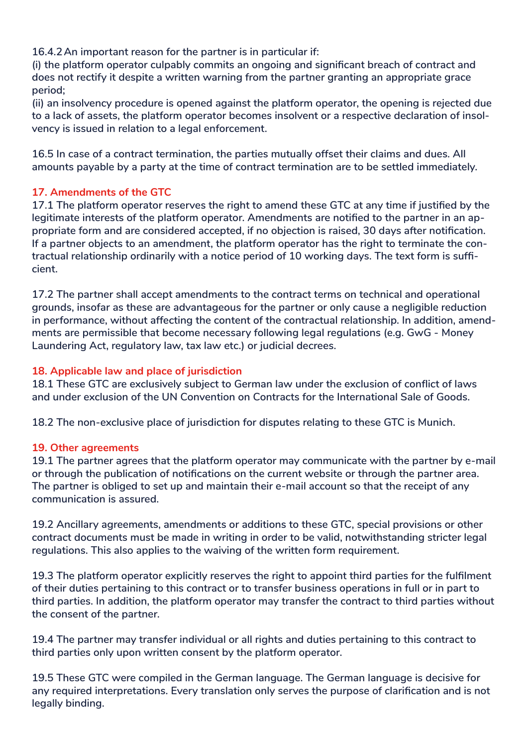**16.4.2An important reason for the partner is in particular if:**

**(i) the platform operator culpably commits an ongoing and significant breach of contract and does not rectify it despite a written warning from the partner granting an appropriate grace period;**

**(ii) an insolvency procedure is opened against the platform operator, the opening is rejected due to a lack of assets, the platform operator becomes insolvent or a respective declaration of insolvency is issued in relation to a legal enforcement.**

**16.5 In case of a contract termination, the parties mutually offset their claims and dues. All amounts payable by a party at the time of contract termination are to be settled immediately.**

## **17. Amendments of the GTC**

**17.1 The platform operator reserves the right to amend these GTC at any time if justified by the legitimate interests of the platform operator. Amendments are notified to the partner in an appropriate form and are considered accepted, if no objection is raised, 30 days after notification. If a partner objects to an amendment, the platform operator has the right to terminate the contractual relationship ordinarily with a notice period of 10 working days. The text form is sufficient.**

**17.2 The partner shall accept amendments to the contract terms on technical and operational grounds, insofar as these are advantageous for the partner or only cause a negligible reduction in performance, without affecting the content of the contractual relationship. In addition, amendments are permissible that become necessary following legal regulations (e.g. GwG - Money Laundering Act, regulatory law, tax law etc.) or judicial decrees.**

## **18. Applicable law and place of jurisdiction**

**18.1 These GTC are exclusively subject to German law under the exclusion of conflict of laws and under exclusion of the UN Convention on Contracts for the International Sale of Goods.**

**18.2 The non-exclusive place of jurisdiction for disputes relating to these GTC is Munich.** 

## **19. Other agreements**

**19.1 The partner agrees that the platform operator may communicate with the partner by e-mail or through the publication of notifications on the current website or through the partner area. The partner is obliged to set up and maintain their e-mail account so that the receipt of any communication is assured.** 

**19.2 Ancillary agreements, amendments or additions to these GTC, special provisions or other contract documents must be made in writing in order to be valid, notwithstanding stricter legal regulations. This also applies to the waiving of the written form requirement.**

**19.3 The platform operator explicitly reserves the right to appoint third parties for the fulfilment of their duties pertaining to this contract or to transfer business operations in full or in part to third parties. In addition, the platform operator may transfer the contract to third parties without the consent of the partner.**

**19.4 The partner may transfer individual or all rights and duties pertaining to this contract to third parties only upon written consent by the platform operator.**

**19.5 These GTC were compiled in the German language. The German language is decisive for any required interpretations. Every translation only serves the purpose of clarification and is not legally binding.**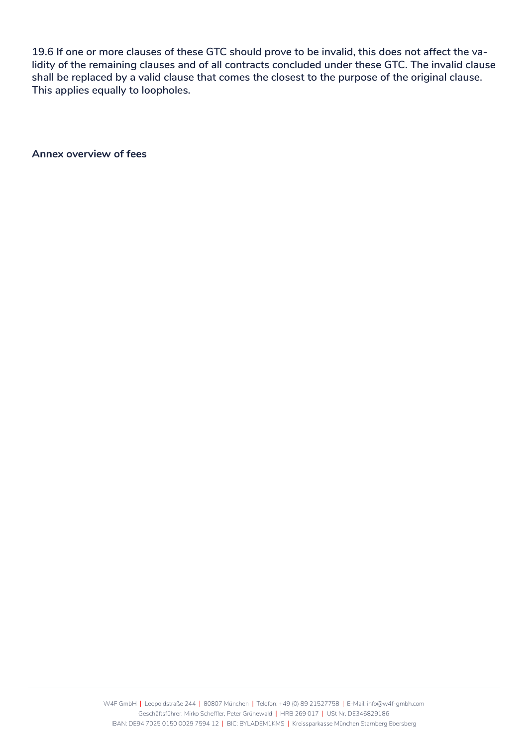**19.6 If one or more clauses of these GTC should prove to be invalid, this does not affect the validity of the remaining clauses and of all contracts concluded under these GTC. The invalid clause shall be replaced by a valid clause that comes the closest to the purpose of the original clause. This applies equally to loopholes.**

**Annex overview of fees**